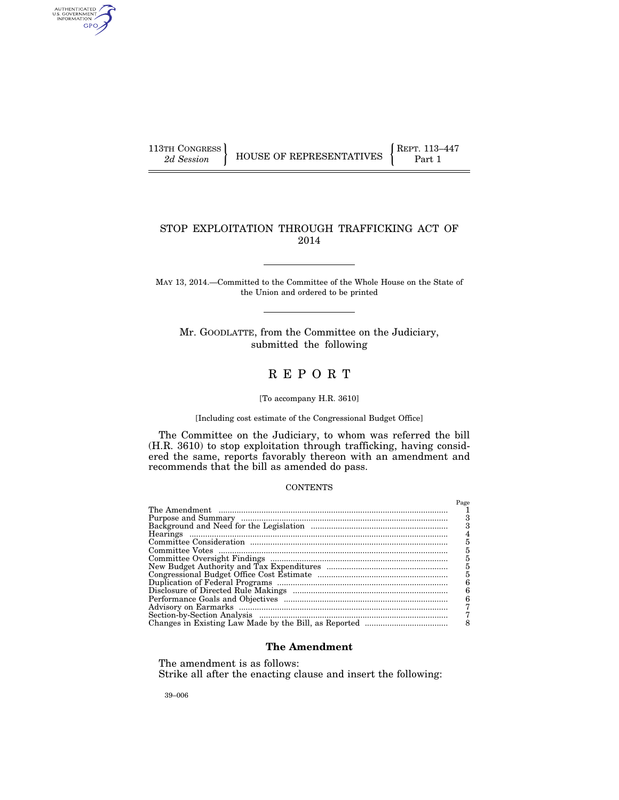AUTHENTICATED<br>U.S. GOVERNMENT<br>INFORMATION GPO

# STOP EXPLOITATION THROUGH TRAFFICKING ACT OF 2014

MAY 13, 2014.—Committed to the Committee of the Whole House on the State of the Union and ordered to be printed

Mr. GOODLATTE, from the Committee on the Judiciary, submitted the following

# R E P O R T

[To accompany H.R. 3610]

[Including cost estimate of the Congressional Budget Office]

The Committee on the Judiciary, to whom was referred the bill (H.R. 3610) to stop exploitation through trafficking, having considered the same, reports favorably thereon with an amendment and recommends that the bill as amended do pass.

## **CONTENTS**

| Page |
|------|
|      |
|      |
|      |
| 4    |
| 5    |
| 5    |
| 5    |
| 5    |
| 5    |
|      |
|      |
| 6    |
|      |
|      |
|      |

## **The Amendment**

The amendment is as follows: Strike all after the enacting clause and insert the following:

39–006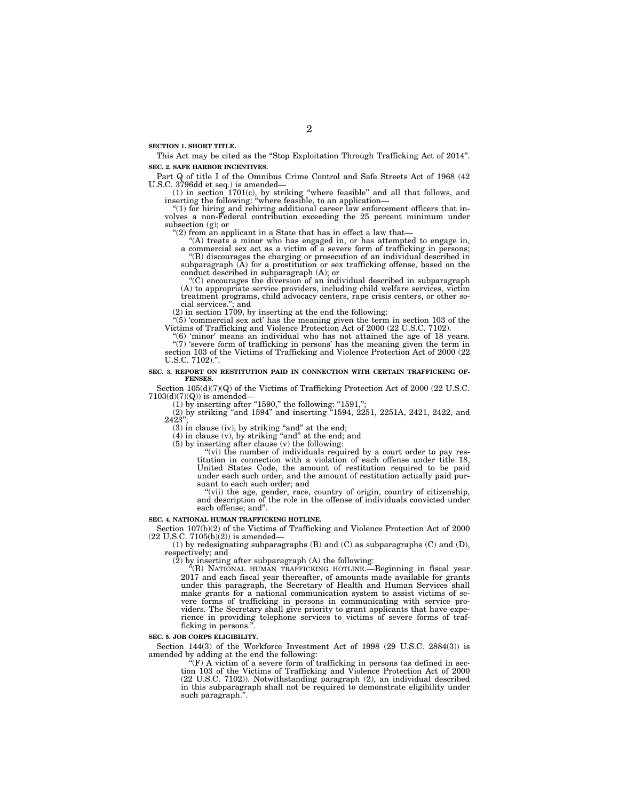**SECTION 1. SHORT TITLE.** 

This Act may be cited as the "Stop Exploitation Through Trafficking Act of 2014". **SEC. 2. SAFE HARBOR INCENTIVES.** 

Part Q of title I of the Omnibus Crime Control and Safe Streets Act of 1968 (42 U.S.C. 3796dd et seq.) is amended—

(1) in section  $1701(c)$ , by striking "where feasible" and all that follows, and inserting the following: "where feasible, to an application—<br>"(1) for hiring and rehiring additional career law enforcement officers that in-

volves a non-Federal contribution exceeding the 25 percent minimum under subsection (g); or

" $(2)$  from an applicant in a State that has in effect a law that-

''(A) treats a minor who has engaged in, or has attempted to engage in, a commercial sex act as a victim of a severe form of trafficking in persons; ''(B) discourages the charging or prosecution of an individual described in

subparagraph  $(A)$  for a prostitution or sex trafficking offense, based on the conduct described in subparagraph (A); or

''(C) encourages the diversion of an individual described in subparagraph (A) to appropriate service providers, including child welfare services, victim<br>treatment programs, child advocacy centers, rape crisis centers, or other so-<br>cial services.", and<br>(2) in section 1709, by inserting at the en

''(5) 'commercial sex act' has the meaning given the term in section 103 of the Victims of Trafficking and Violence Protection Act of 2000 (22 U.S.C. 7102).

''(6) 'minor' means an individual who has not attained the age of 18 years. ''(7) 'severe form of trafficking in persons' has the meaning given the term in section 103 of the Victims of Trafficking and Violence Protection Act of 2000 (22 U.S.C. 7102)."

#### **SEC. 3. REPORT ON RESTITUTION PAID IN CONNECTION WITH CERTAIN TRAFFICKING OF-FENSES.**

Section 105(d)(7)(Q) of the Victims of Trafficking Protection Act of 2000 (22 U.S.C.  $7103(d)(7)(Q)$ ) is amended–

(1) by inserting after "1590," the following: "1591,";

(2) by striking ''and 1594'' and inserting ''1594, 2251, 2251A, 2421, 2422, and 2423'';

(3) in clause (iv), by striking "and" at the end; and (4) in clause (v), by striking "and" at the end; and (5) by inserting after clause (v) the following:

"(vi) the number of individuals required by a court order to pay restitution in connection with a violation of each offense under title 18, United States Code, the amount of restitution required to be paid under each such order, and the amount of restitution actually paid pursuant to each such order; and

''(vii) the age, gender, race, country of origin, country of citizenship, and description of the role in the offense of individuals convicted under each offense; and''.

#### **SEC. 4. NATIONAL HUMAN TRAFFICKING HOTLINE.**

Section 107(b)(2) of the Victims of Trafficking and Violence Protection Act of 2000  $(22 \text{ U.S.C. } 7105(b)(2))$  is amended-

(1) by redesignating subparagraphs (B) and (C) as subparagraphs (C) and (D), respectively; and

(2) by inserting after subparagraph (A) the following:

''(B) NATIONAL HUMAN TRAFFICKING HOTLINE.—Beginning in fiscal year 2017 and each fiscal year thereafter, of amounts made available for grants under this paragraph, the Secretary of Health and Human Services shall make grants for a national communication system to assist victims of severe forms of trafficking in persons in communicating with service providers. The Secretary shall give priority to grant applicants that have experience in providing telephone services to victims of severe forms of trafficking in persons.<sup>"</sup>

#### **SEC. 5. JOB CORPS ELIGIBILITY.**

Section 144(3) of the Workforce Investment Act of 1998 (29 U.S.C. 2884(3)) is amended by adding at the end the following:

''(F) A victim of a severe form of trafficking in persons (as defined in sec-tion 103 of the Victims of Trafficking and Violence Protection Act of 2000 (22 U.S.C. 7102)). Notwithstanding paragraph (2), an individual described in this subparagraph shall not be required to demonstrate eligibility under such paragraph.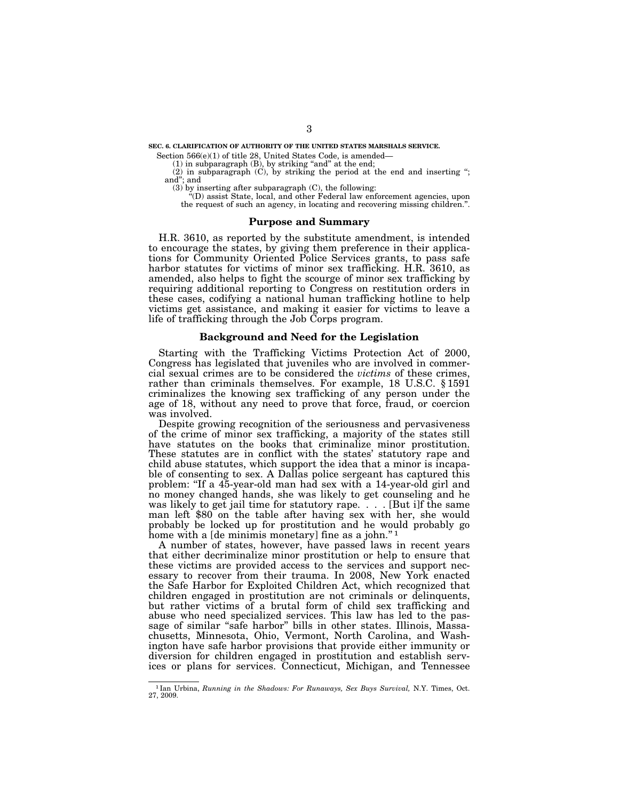**SEC. 6. CLARIFICATION OF AUTHORITY OF THE UNITED STATES MARSHALS SERVICE.** 

Section 566(e)(1) of title 28, United States Code, is amended—

 $(1)$  in subparagraph  $(B)$ , by striking "and" at the end;

(2) in subparagraph (C), by striking the period at the end and inserting ''; and''; and

(3) by inserting after subparagraph (C), the following:

''(D) assist State, local, and other Federal law enforcement agencies, upon the request of such an agency, in locating and recovering missing children.''.

## **Purpose and Summary**

H.R. 3610, as reported by the substitute amendment, is intended to encourage the states, by giving them preference in their applications for Community Oriented Police Services grants, to pass safe harbor statutes for victims of minor sex trafficking. H.R. 3610, as amended, also helps to fight the scourge of minor sex trafficking by requiring additional reporting to Congress on restitution orders in these cases, codifying a national human trafficking hotline to help victims get assistance, and making it easier for victims to leave a life of trafficking through the Job Corps program.

### **Background and Need for the Legislation**

Starting with the Trafficking Victims Protection Act of 2000, Congress has legislated that juveniles who are involved in commercial sexual crimes are to be considered the *victims* of these crimes, rather than criminals themselves. For example, 18 U.S.C. § 1591 criminalizes the knowing sex trafficking of any person under the age of 18, without any need to prove that force, fraud, or coercion was involved.

Despite growing recognition of the seriousness and pervasiveness of the crime of minor sex trafficking, a majority of the states still have statutes on the books that criminalize minor prostitution. These statutes are in conflict with the states' statutory rape and child abuse statutes, which support the idea that a minor is incapable of consenting to sex. A Dallas police sergeant has captured this problem: ''If a 45-year-old man had sex with a 14-year-old girl and no money changed hands, she was likely to get counseling and he was likely to get jail time for statutory rape. . . . [But i]f the same man left \$80 on the table after having sex with her, she would probably be locked up for prostitution and he would probably go home with a [de minimis monetary] fine as a john."<sup>1</sup>

A number of states, however, have passed laws in recent years that either decriminalize minor prostitution or help to ensure that these victims are provided access to the services and support necessary to recover from their trauma. In 2008, New York enacted the Safe Harbor for Exploited Children Act, which recognized that children engaged in prostitution are not criminals or delinquents, but rather victims of a brutal form of child sex trafficking and abuse who need specialized services. This law has led to the passage of similar "safe harbor" bills in other states. Illinois, Massachusetts, Minnesota, Ohio, Vermont, North Carolina, and Washington have safe harbor provisions that provide either immunity or diversion for children engaged in prostitution and establish services or plans for services. Connecticut, Michigan, and Tennessee

<sup>1</sup> Ian Urbina, *Running in the Shadows: For Runaways, Sex Buys Survival,* N.Y. Times, Oct. 27, 2009.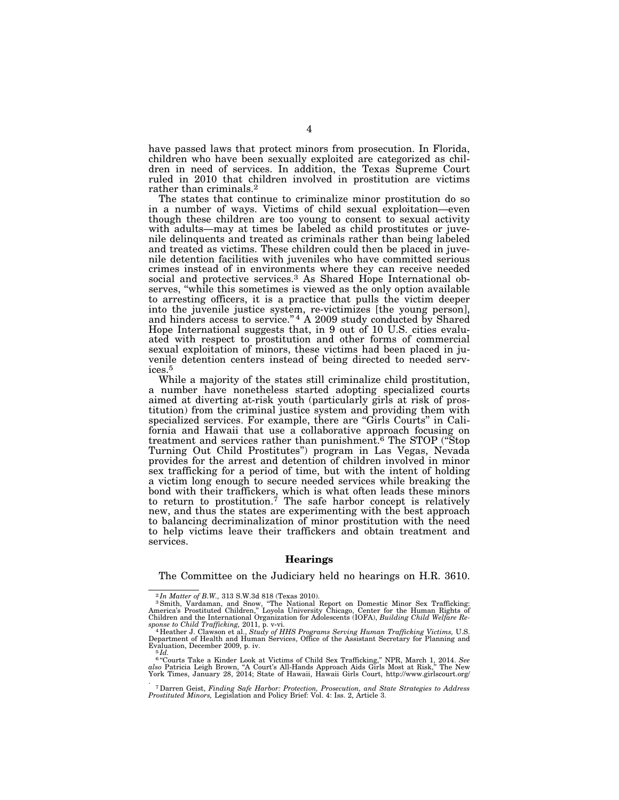have passed laws that protect minors from prosecution. In Florida, children who have been sexually exploited are categorized as children in need of services. In addition, the Texas Supreme Court ruled in 2010 that children involved in prostitution are victims rather than criminals.2

The states that continue to criminalize minor prostitution do so in a number of ways. Victims of child sexual exploitation—even though these children are too young to consent to sexual activity with adults—may at times be labeled as child prostitutes or juvenile delinquents and treated as criminals rather than being labeled and treated as victims. These children could then be placed in juvenile detention facilities with juveniles who have committed serious crimes instead of in environments where they can receive needed social and protective services.3 As Shared Hope International observes, "while this sometimes is viewed as the only option available to arresting officers, it is a practice that pulls the victim deeper into the juvenile justice system, re-victimizes [the young person], and hinders access to service." $4$  A 2009 study conducted by Shared Hope International suggests that, in 9 out of 10 U.S. cities evaluated with respect to prostitution and other forms of commercial sexual exploitation of minors, these victims had been placed in juvenile detention centers instead of being directed to needed services.5

While a majority of the states still criminalize child prostitution, a number have nonetheless started adopting specialized courts aimed at diverting at-risk youth (particularly girls at risk of prostitution) from the criminal justice system and providing them with specialized services. For example, there are ''Girls Courts'' in California and Hawaii that use a collaborative approach focusing on treatment and services rather than punishment.6 The STOP (''Stop Turning Out Child Prostitutes'') program in Las Vegas, Nevada provides for the arrest and detention of children involved in minor sex trafficking for a period of time, but with the intent of holding a victim long enough to secure needed services while breaking the bond with their traffickers, which is what often leads these minors to return to prostitution.<sup>7</sup> The safe harbor concept is relatively new, and thus the states are experimenting with the best approach to balancing decriminalization of minor prostitution with the need to help victims leave their traffickers and obtain treatment and services.

#### **Hearings**

The Committee on the Judiciary held no hearings on H.R. 3610.

 $^{2}$ In Matter of B.W., 313 S.W.3d 818 (Texas 2010).<br><sup>3</sup> Smith, Vardaman, and Snow, "The National Report on Domestic Minor Sex Trafficking:<br>America's Prostituted Children," Loyola University Chicago, Center for the Human Children and the International Organization for Adolescents (IOFA), *Building Child Welfare Response to Child Trafficking,* 2011, p. v-vi. 4 Heather J. Clawson et al., *Study of HHS Programs Serving Human Trafficking Victims,* U.S.

Department of Health and Human Services, Office of the Assistant Secretary for Planning and<br>Evaluation, December 2009, p. iv.<br><sup>5</sup>*Id.* 

 $6$ "Courts Take a Kinder Look at Victims of Child Sex Trafficking," NPR, March 1, 2014. See also Patricia Leigh Brown, "A Court's All-Hands Approach Aids Girls Most at Risk," The New York Times, January 28, 2014; State of

<sup>. 7</sup>Darren Geist, *Finding Safe Harbor: Protection, Prosecution, and State Strategies to Address Prostituted Minors,* Legislation and Policy Brief: Vol. 4: Iss. 2, Article 3.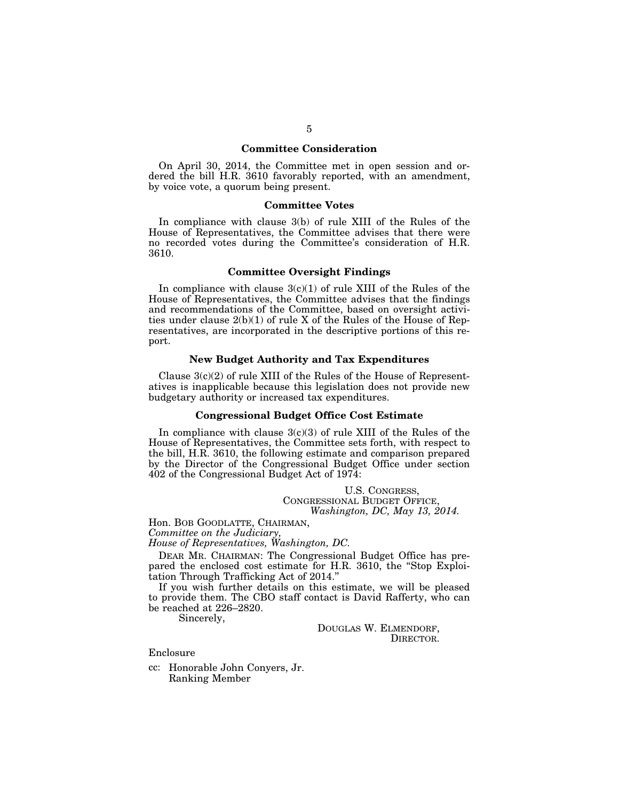#### **Committee Consideration**

On April 30, 2014, the Committee met in open session and ordered the bill H.R. 3610 favorably reported, with an amendment, by voice vote, a quorum being present.

#### **Committee Votes**

In compliance with clause 3(b) of rule XIII of the Rules of the House of Representatives, the Committee advises that there were no recorded votes during the Committee's consideration of H.R. 3610.

#### **Committee Oversight Findings**

In compliance with clause  $3(c)(1)$  of rule XIII of the Rules of the House of Representatives, the Committee advises that the findings and recommendations of the Committee, based on oversight activities under clause 2(b)(1) of rule X of the Rules of the House of Representatives, are incorporated in the descriptive portions of this report.

#### **New Budget Authority and Tax Expenditures**

Clause  $3(c)(2)$  of rule XIII of the Rules of the House of Representatives is inapplicable because this legislation does not provide new budgetary authority or increased tax expenditures.

## **Congressional Budget Office Cost Estimate**

In compliance with clause  $3(c)(3)$  of rule XIII of the Rules of the House of Representatives, the Committee sets forth, with respect to the bill, H.R. 3610, the following estimate and comparison prepared by the Director of the Congressional Budget Office under section 402 of the Congressional Budget Act of 1974:

> U.S. CONGRESS, CONGRESSIONAL BUDGET OFFICE, *Washington, DC, May 13, 2014.*

Hon. BOB GOODLATTE, CHAIRMAN,

*Committee on the Judiciary,* 

*House of Representatives, Washington, DC.* 

DEAR MR. CHAIRMAN: The Congressional Budget Office has prepared the enclosed cost estimate for H.R. 3610, the "Stop Exploitation Through Trafficking Act of 2014.''

If you wish further details on this estimate, we will be pleased to provide them. The CBO staff contact is David Rafferty, who can be reached at 226–2820.

Sincerely,

DOUGLAS W. ELMENDORF, DIRECTOR.

Enclosure

cc: Honorable John Conyers, Jr. Ranking Member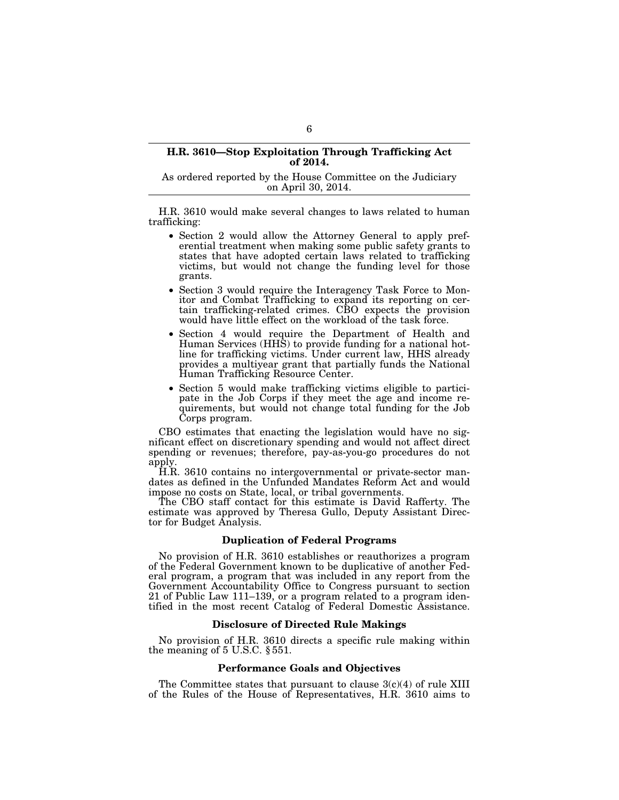#### **H.R. 3610—Stop Exploitation Through Trafficking Act of 2014.**

As ordered reported by the House Committee on the Judiciary on April 30, 2014.

H.R. 3610 would make several changes to laws related to human trafficking:

- Section 2 would allow the Attorney General to apply preferential treatment when making some public safety grants to states that have adopted certain laws related to trafficking victims, but would not change the funding level for those grants.
- Section 3 would require the Interagency Task Force to Monitor and Combat Trafficking to expand its reporting on certain trafficking-related crimes. CBO expects the provision would have little effect on the workload of the task force.
- Section 4 would require the Department of Health and Human Services (HHS) to provide funding for a national hotline for trafficking victims. Under current law, HHS already provides a multiyear grant that partially funds the National Human Trafficking Resource Center.
- Section 5 would make trafficking victims eligible to participate in the Job Corps if they meet the age and income requirements, but would not change total funding for the Job Corps program.

CBO estimates that enacting the legislation would have no significant effect on discretionary spending and would not affect direct spending or revenues; therefore, pay-as-you-go procedures do not apply.

H.R. 3610 contains no intergovernmental or private-sector mandates as defined in the Unfunded Mandates Reform Act and would impose no costs on State, local, or tribal governments.

The CBO staff contact for this estimate is David Rafferty. The estimate was approved by Theresa Gullo, Deputy Assistant Director for Budget Analysis.

#### **Duplication of Federal Programs**

No provision of H.R. 3610 establishes or reauthorizes a program of the Federal Government known to be duplicative of another Federal program, a program that was included in any report from the Government Accountability Office to Congress pursuant to section 21 of Public Law 111–139, or a program related to a program identified in the most recent Catalog of Federal Domestic Assistance.

## **Disclosure of Directed Rule Makings**

No provision of H.R. 3610 directs a specific rule making within the meaning of 5 U.S.C. § 551.

#### **Performance Goals and Objectives**

The Committee states that pursuant to clause  $3(c)(4)$  of rule XIII of the Rules of the House of Representatives, H.R. 3610 aims to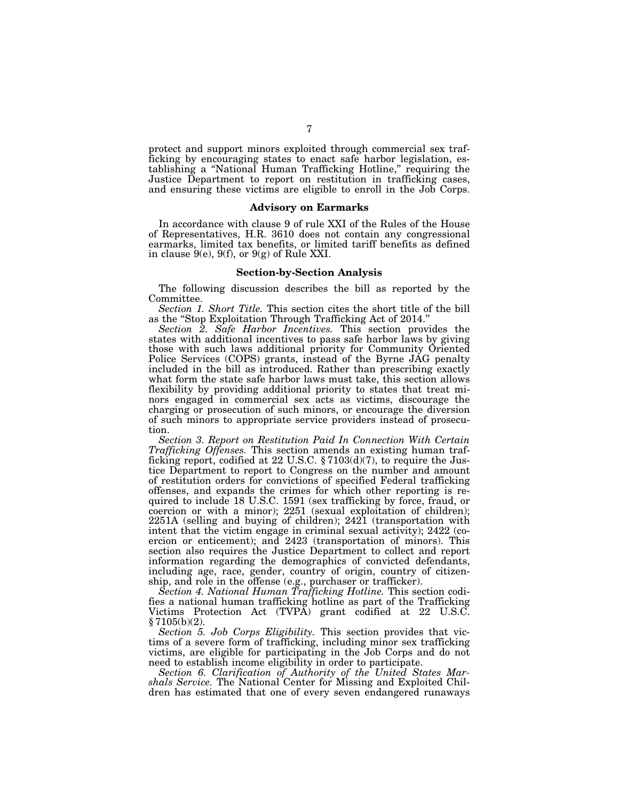protect and support minors exploited through commercial sex trafficking by encouraging states to enact safe harbor legislation, establishing a ''National Human Trafficking Hotline,'' requiring the Justice Department to report on restitution in trafficking cases, and ensuring these victims are eligible to enroll in the Job Corps.

#### **Advisory on Earmarks**

In accordance with clause 9 of rule XXI of the Rules of the House of Representatives, H.R. 3610 does not contain any congressional earmarks, limited tax benefits, or limited tariff benefits as defined in clause 9(e), 9(f), or 9(g) of Rule XXI.

#### **Section-by-Section Analysis**

The following discussion describes the bill as reported by the Committee.

*Section 1. Short Title.* This section cites the short title of the bill as the ''Stop Exploitation Through Trafficking Act of 2014.''

*Section 2. Safe Harbor Incentives.* This section provides the states with additional incentives to pass safe harbor laws by giving those with such laws additional priority for Community Oriented Police Services (COPS) grants, instead of the Byrne JAG penalty included in the bill as introduced. Rather than prescribing exactly what form the state safe harbor laws must take, this section allows flexibility by providing additional priority to states that treat minors engaged in commercial sex acts as victims, discourage the charging or prosecution of such minors, or encourage the diversion of such minors to appropriate service providers instead of prosecution.

*Section 3. Report on Restitution Paid In Connection With Certain Trafficking Offenses.* This section amends an existing human trafficking report, codified at 22 U.S.C. § 7103(d)(7), to require the Justice Department to report to Congress on the number and amount of restitution orders for convictions of specified Federal trafficking offenses, and expands the crimes for which other reporting is required to include 18 U.S.C. 1591 (sex trafficking by force, fraud, or coercion or with a minor); 2251 (sexual exploitation of children); 2251A (selling and buying of children); 2421 (transportation with intent that the victim engage in criminal sexual activity); 2422 (coercion or enticement); and 2423 (transportation of minors). This section also requires the Justice Department to collect and report information regarding the demographics of convicted defendants, including age, race, gender, country of origin, country of citizenship, and role in the offense (e.g., purchaser or trafficker).

*Section 4. National Human Trafficking Hotline.* This section codifies a national human trafficking hotline as part of the Trafficking Victims Protection Act (TVPA) grant codified at 22 U.S.C. § 7105(b)(2).

*Section 5. Job Corps Eligibility.* This section provides that victims of a severe form of trafficking, including minor sex trafficking victims, are eligible for participating in the Job Corps and do not need to establish income eligibility in order to participate.

*Section 6. Clarification of Authority of the United States Marshals Service.* The National Center for Missing and Exploited Children has estimated that one of every seven endangered runaways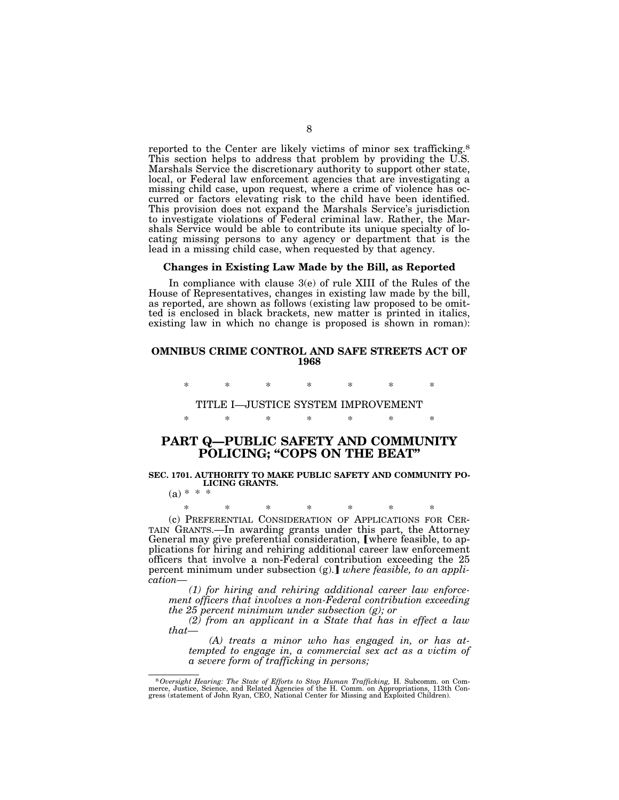reported to the Center are likely victims of minor sex trafficking.8 This section helps to address that problem by providing the U.S. Marshals Service the discretionary authority to support other state, local, or Federal law enforcement agencies that are investigating a missing child case, upon request, where a crime of violence has occurred or factors elevating risk to the child have been identified. This provision does not expand the Marshals Service's jurisdiction to investigate violations of Federal criminal law. Rather, the Marshals Service would be able to contribute its unique specialty of locating missing persons to any agency or department that is the lead in a missing child case, when requested by that agency.

#### **Changes in Existing Law Made by the Bill, as Reported**

In compliance with clause 3(e) of rule XIII of the Rules of the House of Representatives, changes in existing law made by the bill, as reported, are shown as follows (existing law proposed to be omitted is enclosed in black brackets, new matter is printed in italics, existing law in which no change is proposed is shown in roman):

## **OMNIBUS CRIME CONTROL AND SAFE STREETS ACT OF 1968**

\* \* \* \* \* \* \*

TITLE I—JUSTICE SYSTEM IMPROVEMENT \* \* \* \* \* \* \*

# **PART Q—PUBLIC SAFETY AND COMMUNITY POLICING; ''COPS ON THE BEAT''**

#### **SEC. 1701. AUTHORITY TO MAKE PUBLIC SAFETY AND COMMUNITY PO-LICING GRANTS.**   $(a) * * +$

\* \* \* \* \* \* \* (c) PREFERENTIAL CONSIDERATION OF APPLICATIONS FOR CER-TAIN GRANTS.—In awarding grants under this part, the Attorney General may give preferential consideration, [where feasible, to applications for hiring and rehiring additional career law enforcement officers that involve a non-Federal contribution exceeding the 25 percent minimum under subsection (g). *where feasible, to an application—* 

*(1) for hiring and rehiring additional career law enforcement officers that involves a non-Federal contribution exceeding the 25 percent minimum under subsection (g); or* 

*(2) from an applicant in a State that has in effect a law that—* 

*(A) treats a minor who has engaged in, or has attempted to engage in, a commercial sex act as a victim of a severe form of trafficking in persons;* 

<sup>&</sup>lt;sup>8</sup> Oversight Hearing: The State of Efforts to Stop Human Trafficking, H. Subcomm. on Commerce, Justice, Science, and Related Agencies of the H. Comm. on Appropriations, 113th Congress (statement of John Ryan, CEO, Nationa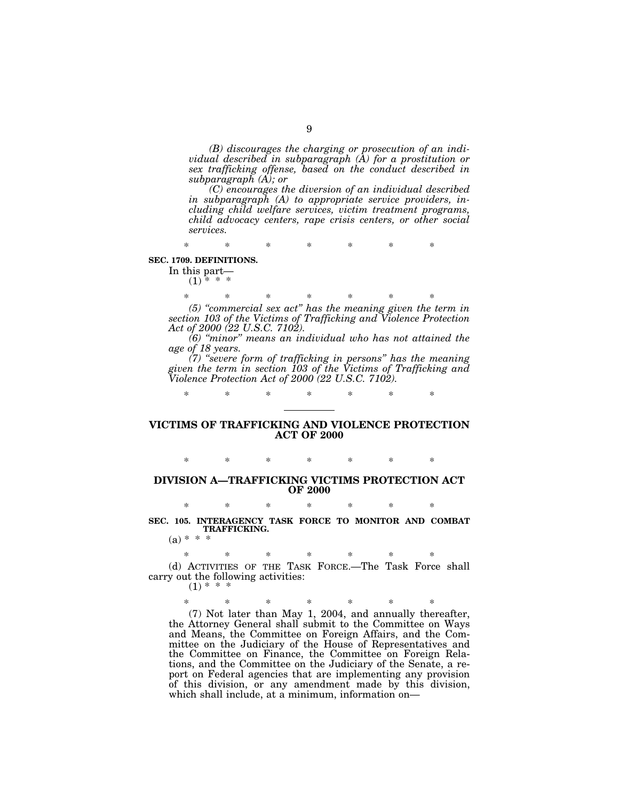*(B) discourages the charging or prosecution of an individual described in subparagraph (A) for a prostitution or sex trafficking offense, based on the conduct described in subparagraph (A); or* 

*(C) encourages the diversion of an individual described in subparagraph (A) to appropriate service providers, including child welfare services, victim treatment programs, child advocacy centers, rape crisis centers, or other social services.* 

\* \* \* \* \* \* \*

#### **SEC. 1709. DEFINITIONS.**

In this part—  $(1)$  \* \* \*

> \* \* \* \* \* \* \* *(5) ''commercial sex act'' has the meaning given the term in*

*section 103 of the Victims of Trafficking and Violence Protection Act of 2000 (22 U.S.C. 7102). (6) ''minor'' means an individual who has not attained the* 

*age of 18 years.* 

*(7) ''severe form of trafficking in persons'' has the meaning given the term in section 103 of the Victims of Trafficking and Violence Protection Act of 2000 (22 U.S.C. 7102).* 

\* \* \* \* \* \* \*

# **VICTIMS OF TRAFFICKING AND VIOLENCE PROTECTION ACT OF 2000**

# \* \* \* \* \* \* \* **DIVISION A—TRAFFICKING VICTIMS PROTECTION ACT OF 2000**

\* \* \* \* \* \* \* **SEC. 105. INTERAGENCY TASK FORCE TO MONITOR AND COMBAT TRAFFICKING.** 

 $(a) * * *$ 

\* \* \* \* \* \* \* (d) ACTIVITIES OF THE TASK FORCE.—The Task Force shall carry out the following activities:

 $(1)$  \*

\* \* \* \* \* \* \*

(7) Not later than May 1, 2004, and annually thereafter, the Attorney General shall submit to the Committee on Ways and Means, the Committee on Foreign Affairs, and the Committee on the Judiciary of the House of Representatives and the Committee on Finance, the Committee on Foreign Relations, and the Committee on the Judiciary of the Senate, a report on Federal agencies that are implementing any provision of this division, or any amendment made by this division, which shall include, at a minimum, information on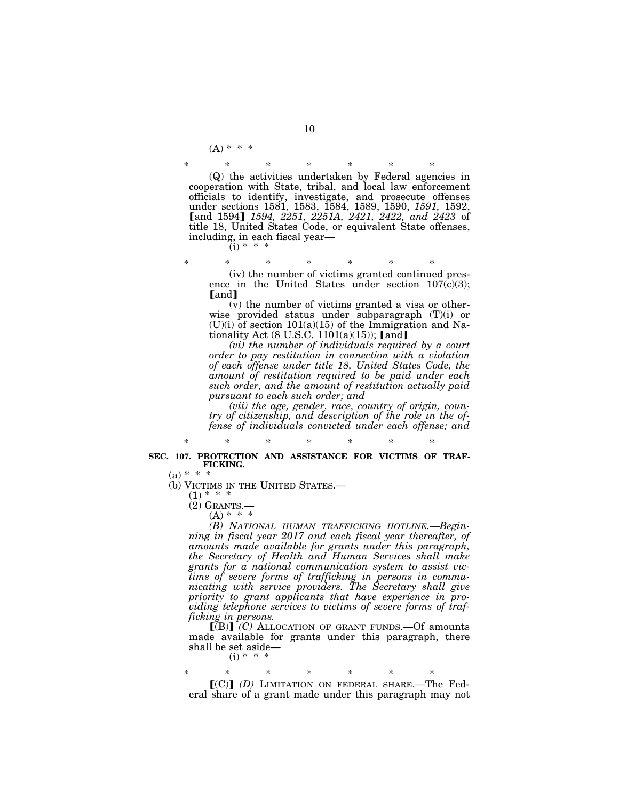$(A) * * * *$ 

\* \* \* \* \* \* \* (Q) the activities undertaken by Federal agencies in cooperation with State, tribal, and local law enforcement officials to identify, investigate, and prosecute offenses under sections 1581, 1583, 1584, 1589, 1590, *1591,* 1592, øand 1594¿ *1594, 2251, 2251A, 2421, 2422, and 2423* of title 18, United States Code, or equivalent State offenses, including, in each fiscal year—

 $(i) * * *$ 

\* \* \* \* \* \* \* (iv) the number of victims granted continued presence in the United States under section  $107(c)(3)$ ; [and]

(v) the number of victims granted a visa or otherwise provided status under subparagraph (T)(i) or  $(U)(i)$  of section  $101(a)(15)$  of the Immigration and Nationality Act (8 U.S.C. 1101(a)(15));  $[and]$ 

*(vi) the number of individuals required by a court order to pay restitution in connection with a violation of each offense under title 18, United States Code, the amount of restitution required to be paid under each such order, and the amount of restitution actually paid pursuant to each such order; and* 

*(vii) the age, gender, race, country of origin, country of citizenship, and description of the role in the offense of individuals convicted under each offense; and* 

## \* \* \* \* \* \* \* **SEC. 107. PROTECTION AND ASSISTANCE FOR VICTIMS OF TRAF-FICKING.**

(b) VICTIMS IN THE UNITED STATES.—  $(1)$  \* \* \*  $(2)$  GRANTS.—

 $(A) * * * *$ 

*(B) NATIONAL HUMAN TRAFFICKING HOTLINE.—Beginning in fiscal year 2017 and each fiscal year thereafter, of amounts made available for grants under this paragraph, the Secretary of Health and Human Services shall make grants for a national communication system to assist victims of severe forms of trafficking in persons in communicating with service providers. The Secretary shall give priority to grant applicants that have experience in providing telephone services to victims of severe forms of trafficking in persons.* 

 $\left[\text{B}\right]$  *(C)* ALLOCATION OF GRANT FUNDS. - Of amounts made available for grants under this paragraph, there shall be set aside—

 $(i) * *$ 

\* \* \* \* \* \* \*  $(C)$  (D) LIMITATION ON FEDERAL SHARE.—The Federal share of a grant made under this paragraph may not

 $(a) * * *$